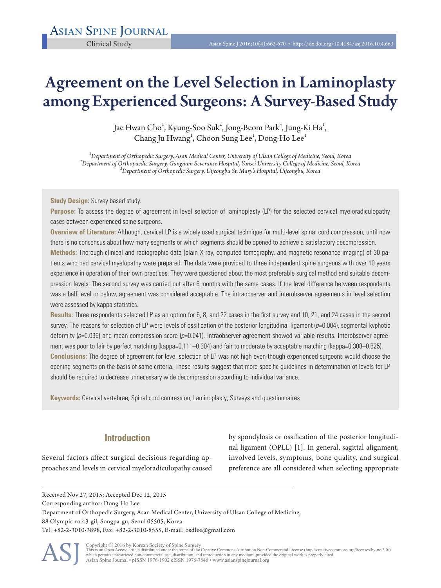# Agreement on the Level Selection in Laminoplasty among Experienced Surgeons: A Survey-Based Study

Jae Hwan Cho $^1$ , Kyung-Soo Suk $^2$ , Jong-Beom Park $^3$ , Jung-Ki Ha $^1$ , Chang Ju Hwang<sup>1</sup>, Choon Sung Lee<sup>1</sup>, Dong-Ho Lee<sup>1</sup>

*1 Department of Orthopedic Surgery, Asan Medical Center, University of Ulsan College of Medicine, Seoul, Korea <sup>2</sup> Department of Orthopaedic Surgery, Gangnam Severance Hospital, Yonsei University College of Medicine, Seoul, Korea <sup>3</sup> Department of Orthopedic Surgery, Uijeongbu St. Mary's Hospital, Uijeongbu, Korea* 

**Study Design:** Survey based study.

**Purpose:** To assess the degree of agreement in level selection of laminoplasty (LP) for the selected cervical myeloradiculopathy cases between experienced spine surgeons.

**Overview of Literature:** Although, cervical LP is a widely used surgical technique for multi-level spinal cord compression, until now there is no consensus about how many segments or which segments should be opened to achieve a satisfactory decompression.

**Methods:** Thorough clinical and radiographic data (plain X-ray, computed tomography, and magnetic resonance imaging) of 30 patients who had cervical myelopathy were prepared. The data were provided to three independent spine surgeons with over 10 years experience in operation of their own practices. They were questioned about the most preferable surgical method and suitable decompression levels. The second survey was carried out after 6 months with the same cases. If the level difference between respondents was a half level or below, agreement was considered acceptable. The intraobserver and interobserver agreements in level selection were assessed by kappa statistics.

**Results:** Three respondents selected LP as an option for 6, 8, and 22 cases in the first survey and 10, 21, and 24 cases in the second survey. The reasons for selection of LP were levels of ossification of the posterior longitudinal ligament  $(p=0.004)$ , segmental kyphotic deformity ( $p=0.036$ ) and mean compression score ( $p=0.041$ ). Intraobserver agreement showed variable results. Interobserver agreement was poor to fair by perfect matching (kappa=0.111–0.304) and fair to moderate by acceptable matching (kappa=0.308–0.625). **Conclusions:** The degree of agreement for level selection of LP was not high even though experienced surgeons would choose the opening segments on the basis of same criteria. These results suggest that more specific guidelines in determination of levels for LP should be required to decrease unnecessary wide decompression according to individual variance.

**Keywords:** Cervical vertebrae; Spinal cord comression; Laminoplasty; Surveys and questionnaires

# **Introduction**

Several factors affect surgical decisions regarding approaches and levels in cervical myeloradiculopathy caused

by spondylosis or ossification of the posterior longitudinal ligament (OPLL) [1]. In general, sagittal alignment, involved levels, symptoms, bone quality, and surgical preference are all considered when selecting appropriate

Received Nov 27, 2015; Accepted Dec 12, 2015 Corresponding author: Dong-Ho Lee Department of Orthopedic Surgery, Asan Medical Center, University of Ulsan College of Medicine, 88 Olympic-ro 43-gil, Songpa-gu, Seoul 05505, Korea Tel: +82-2-3010-3898, Fax: +82-2-3010-8555, E-mail: osdlee@gmail.com

ASJ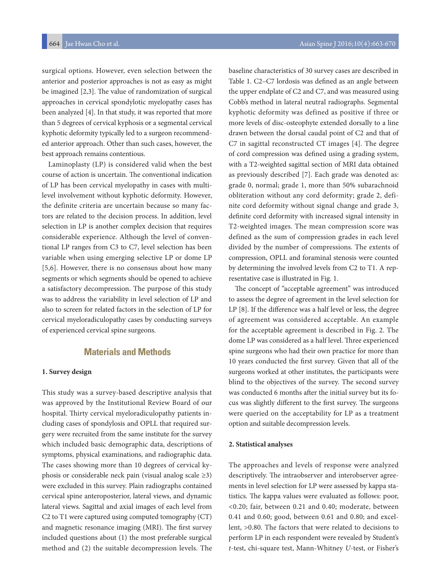surgical options. However, even selection between the anterior and posterior approaches is not as easy as might be imagined [2,3]. The value of randomization of surgical approaches in cervical spondylotic myelopathy cases has been analyzed [4]. In that study, it was reported that more than 5 degrees of cervical kyphosis or a segmental cervical kyphotic deformity typically led to a surgeon recommended anterior approach. Other than such cases, however, the best approach remains contentious.

Laminoplasty (LP) is considered valid when the best course of action is uncertain. The conventional indication of LP has been cervical myelopathy in cases with multilevel involvement without kyphotic deformity. However, the definite criteria are uncertain because so many factors are related to the decision process. In addition, level selection in LP is another complex decision that requires considerable experience. Although the level of conventional LP ranges from C3 to C7, level selection has been variable when using emerging selective LP or dome LP [5,6]. However, there is no consensus about how many segments or which segments should be opened to achieve a satisfactory decompression. The purpose of this study was to address the variability in level selection of LP and also to screen for related factors in the selection of LP for cervical myeloradiculopathy cases by conducting surveys of experienced cervical spine surgeons.

# **Materials and Methods**

#### **1. Survey design**

This study was a survey-based descriptive analysis that was approved by the Institutional Review Board of our hospital. Thirty cervical myeloradiculopathy patients including cases of spondylosis and OPLL that required surgery were recruited from the same institute for the survey which included basic demographic data, descriptions of symptoms, physical examinations, and radiographic data. The cases showing more than 10 degrees of cervical kyphosis or considerable neck pain (visual analog scale ≥3) were excluded in this survey. Plain radiographs contained cervical spine anteroposterior, lateral views, and dynamic lateral views. Sagittal and axial images of each level from C2 to T1 were captured using computed tomography (CT) and magnetic resonance imaging (MRI). The first survey included questions about (1) the most preferable surgical method and (2) the suitable decompression levels. The

baseline characteristics of 30 survey cases are described in Table 1. C2–C7 lordosis was defined as an angle between the upper endplate of C2 and C7, and was measured using Cobb's method in lateral neutral radiographs. Segmental kyphotic deformity was defined as positive if three or more levels of disc-osteophyte extended dorsally to a line drawn between the dorsal caudal point of C2 and that of C7 in sagittal reconstructed CT images [4]. The degree of cord compression was defined using a grading system, with a T2-weighted sagittal section of MRI data obtained as previously described [7]. Each grade was denoted as: grade 0, normal; grade 1, more than 50% subarachnoid obliteration without any cord deformity; grade 2, definite cord deformity without signal change and grade 3, definite cord deformity with increased signal intensity in T2-weighted images. The mean compression score was defined as the sum of compression grades in each level divided by the number of compressions. The extents of compression, OPLL and foraminal stenosis were counted by determining the involved levels from C2 to T1. A representative case is illustrated in Fig. 1.

The concept of "acceptable agreement" was introduced to assess the degree of agreement in the level selection for LP [8]. If the difference was a half level or less, the degree of agreement was considered acceptable. An example for the acceptable agreement is described in Fig. 2. The dome LP was considered as a half level. Three experienced spine surgeons who had their own practice for more than 10 years conducted the first survey. Given that all of the surgeons worked at other institutes, the participants were blind to the objectives of the survey. The second survey was conducted 6 months after the initial survey but its focus was slightly different to the first survey. The surgeons were queried on the acceptability for LP as a treatment option and suitable decompression levels.

#### **2. Statistical analyses**

The approaches and levels of response were analyzed descriptively. The intraobserver and interobserver agreements in level selection for LP were assessed by kappa statistics. The kappa values were evaluated as follows: poor, <0.20; fair, between 0.21 and 0.40; moderate, between 0.41 and 0.60; good, between 0.61 and 0.80; and excellent, >0.80. The factors that were related to decisions to perform LP in each respondent were revealed by Student's *t*-test, chi-square test, Mann-Whitney *U*-test, or Fisher's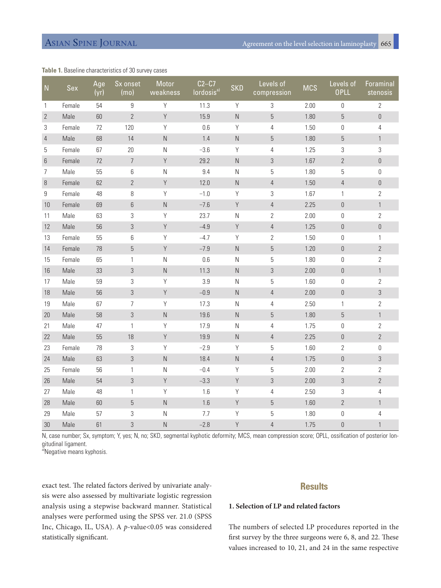### **Table 1.** Baseline characteristics of 30 survey cases

| N              | Sex    | Age<br>(yr) | Sx onset<br>(mo) | Motor<br>weakness | $C2-C7$<br>lordosis <sup>a)</sup> | <b>SKD</b>     | Levels of<br>compression | <b>MCS</b> | Levels of<br><b>OPLL</b> | Foraminal<br>stenosis |
|----------------|--------|-------------|------------------|-------------------|-----------------------------------|----------------|--------------------------|------------|--------------------------|-----------------------|
| 1              | Female | 54          | $\boldsymbol{9}$ | Y                 | 11.3                              | Y              | $\sqrt{3}$               | 2.00       | $\boldsymbol{0}$         | $\mathbf{2}$          |
| $\overline{2}$ | Male   | 60          | $\overline{2}$   | Y                 | 15.9                              | ${\sf N}$      | $\overline{5}$           | 1.80       | $\overline{5}$           | $\mathbf 0$           |
| 3              | Female | 72          | 120              | Y                 | 0.6                               | Y              | 4                        | 1.50       | 0                        | 4                     |
| $\overline{4}$ | Male   | 68          | 14               | ${\sf N}$         | 1.4                               | ${\sf N}$      | 5                        | 1.80       | 5                        | $\mathbf{1}$          |
| 5              | Female | 67          | 20               | N                 | $-3.6$                            | Υ              | $\overline{4}$           | 1.25       | 3                        | 3                     |
| 6              | Female | 72          | $\overline{7}$   | Y                 | 29.2                              | ${\sf N}$      | $\sqrt{3}$               | 1.67       | $\overline{2}$           | $\mathbf 0$           |
| $\overline{7}$ | Male   | 55          | 6                | $\hbox{N}$        | 9.4                               | ${\sf N}$      | $\mathbf 5$              | 1.80       | $\mathbf 5$              | $\mathbf 0$           |
| 8              | Female | 62          | $\overline{2}$   | Y                 | 12.0                              | ${\sf N}$      | $\overline{4}$           | 1.50       | $\overline{4}$           | $\mathbf 0$           |
| 9              | Female | 48          | 8                | Y                 | $-1.0$                            | Y              | $\sqrt{3}$               | 1.67       | $\mathbf{1}$             | $\overline{2}$        |
| 10             | Female | 69          | 6                | ${\sf N}$         | $-7.6$                            | Y              | $\overline{4}$           | 2.25       | $\theta$                 | $\mathbf{1}$          |
| 11             | Male   | 63          | 3                | Υ                 | 23.7                              | Ν              | $\overline{2}$           | 2.00       | 0                        | $\overline{2}$        |
| 12             | Male   | 56          | $\sqrt{3}$       | Y                 | $-4.9$                            | Y              | $\sqrt{4}$               | 1.25       | $\mathbf 0$              | $\mathbf 0$           |
| 13             | Female | 55          | 6                | Y                 | $-4.7$                            | Y              | $\sqrt{2}$               | 1.50       | $\boldsymbol{0}$         | 1                     |
| 14             | Female | 78          | $\overline{5}$   | Υ                 | $-7.9$                            | ${\sf N}$      | 5                        | 1.20       | $\boldsymbol{0}$         | $\overline{2}$        |
| 15             | Female | 65          | $\mathbf{1}$     | $\mathsf{N}$      | 0.6                               | $\mathsf N$    | 5                        | 1.80       | $\theta$                 | $\overline{2}$        |
| 16             | Male   | 33          | $\mathfrak{Z}$   | ${\sf N}$         | 11.3                              | ${\sf N}$      | $\sqrt{3}$               | 2.00       | $\boldsymbol{0}$         | $\mathbf{1}$          |
| 17             | Male   | 59          | 3                | Υ                 | 3.9                               | N              | 5                        | 1.60       | 0                        | $\overline{2}$        |
| 18             | Male   | 56          | 3                | Y                 | $-0.9$                            | $\overline{N}$ | $\overline{4}$           | 2.00       | $\overline{0}$           | $\mathfrak{Z}$        |
| 19             | Male   | 67          | 7                | Υ                 | 17.3                              | $\mathsf N$    | $\overline{4}$           | 2.50       | 1                        | $\overline{2}$        |
| 20             | Male   | 58          | 3                | ${\sf N}$         | 19.6                              | ${\sf N}$      | 5                        | 1.80       | $5\,$                    | $\mathbf{1}$          |
| 21             | Male   | 47          | $\mathbf{1}$     | Υ                 | 17.9                              | $\hbox{N}$     | $\overline{4}$           | 1.75       | $\boldsymbol{0}$         | $\overline{2}$        |
| 22             | Male   | 55          | 18               | Y                 | 19.9                              | ${\sf N}$      | $\overline{4}$           | 2.25       | $\boldsymbol{0}$         | $\overline{2}$        |
| 23             | Female | 78          | 3                | Y                 | $-2.9$                            | Y              | 5                        | 1.60       | 2                        | 0                     |
| 24             | Male   | 63          | 3                | ${\sf N}$         | 18.4                              | ${\sf N}$      | $\sqrt{4}$               | 1.75       | $\mathbf 0$              | $\mathfrak{Z}$        |
| 25             | Female | 56          | 1                | N                 | $-0.4$                            | Υ              | 5                        | 2.00       | 2                        | 2                     |
| 26             | Male   | 54          | $\mathfrak{Z}$   | $\mathsf Y$       | $-3.3$                            | Y              | $\sqrt{3}$               | 2.00       | $\sqrt{3}$               | $\sqrt{2}$            |
| 27             | Male   | 48          | $\mathbf{1}$     | Y                 | 1.6                               | Y              | $\overline{4}$           | 2.50       | 3                        | 4                     |
| 28             | Male   | 60          | $\mathbf 5$      | $\hbox{N}$        | 1.6                               | Y              | $\overline{5}$           | 1.60       | $\overline{2}$           | $\mathbf{1}$          |
| 29             | Male   | 57          | 3                | N                 | 7.7                               | Y              | 5                        | 1.80       | $\boldsymbol{0}$         | 4                     |
| 30             | Male   | 61          | 3                | ${\sf N}$         | $-2.8$                            | Y              | 4                        | 1.75       | $\mathbf 0$              | $\mathbf{1}$          |

N, case number; Sx, symptom; Y, yes; N, no; SKD, segmental kyphotic deformity; MCS, mean compression score; OPLL, ossification of posterior longitudinal ligament.

a) Negative means kyphosis.

exact test. The related factors derived by univariate analysis were also assessed by multivariate logistic regression analysis using a stepwise backward manner. Statistical analyses were performed using the SPSS ver. 21.0 (SPSS Inc, Chicago, IL, USA). A *p*-value<0.05 was considered statistically significant.

# **Results**

### **1. Selection of LP and related factors**

The numbers of selected LP procedures reported in the first survey by the three surgeons were 6, 8, and 22. These values increased to 10, 21, and 24 in the same respective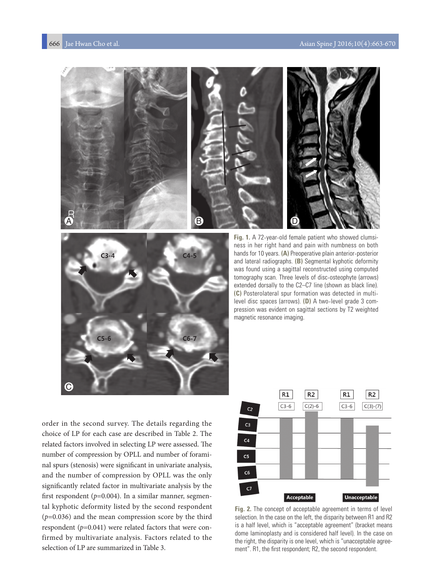



**Fig. 1.** A 72-year-old female patient who showed clumsiness in her right hand and pain with numbness on both hands for 10 years. **(A)** Preoperative plain anterior-posterior and lateral radiographs. **(B)** Segmental kyphotic deformity was found using a sagittal reconstructed using computed tomography scan. Three levels of disc-osteophyte (arrows) extended dorsally to the C2–C7 line (shown as black line). **(C)** Posterolateral spur formation was detected in multilevel disc spaces (arrows). **(D)** A two-level grade 3 compression was evident on sagittal sections by T2 weighted magnetic resonance imaging.

order in the second survey. The details regarding the choice of LP for each case are described in Table 2. The related factors involved in selecting LP were assessed. The number of compression by OPLL and number of foraminal spurs (stenosis) were significant in univariate analysis, and the number of compression by OPLL was the only significantly related factor in multivariate analysis by the first respondent (*p*=0.004). In a similar manner, segmental kyphotic deformity listed by the second respondent (*p*=0.036) and the mean compression score by the third respondent (*p*=0.041) were related factors that were confirmed by multivariate analysis. Factors related to the selection of LP are summarized in Table 3.



**Fig. 2.** The concept of acceptable agreement in terms of level selection. In the case on the left, the disparity between R1 and R2 is a half level, which is "acceptable agreement" (bracket means dome laminoplasty and is considered half level). In the case on the right, the disparity is one level, which is "unacceptable agreement". R1, the first respondent; R2, the second respondent.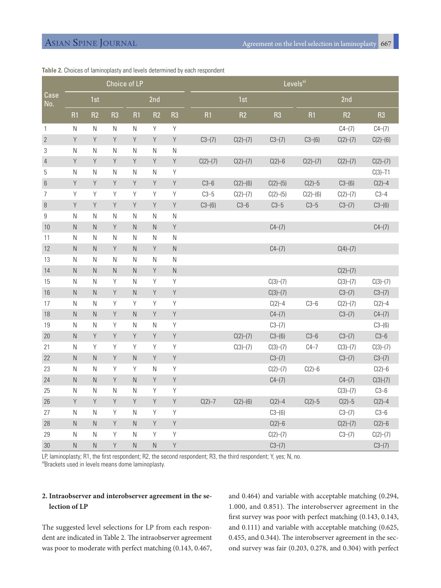|                  | Choice of LP |             |                |                |                |                | Levels <sup>a)</sup> |          |                |            |            |                |
|------------------|--------------|-------------|----------------|----------------|----------------|----------------|----------------------|----------|----------------|------------|------------|----------------|
| Case<br>No.      | 1st          |             |                | 2nd            |                |                | 1st                  |          |                | 2nd        |            |                |
|                  | R1           | R2          | R <sub>3</sub> | R1             | R <sub>2</sub> | R <sub>3</sub> | R1                   | R2       | R <sub>3</sub> | R1         | R2         | R <sub>3</sub> |
| $\mathbf{1}$     | N            | ${\sf N}$   | $\mathsf{N}$   | ${\sf N}$      | Y              | Y              |                      |          |                |            | $C4-(7)$   | $C4-(7)$       |
| $\overline{2}$   | $\mathsf Y$  | Y           | Y              | Y              | Y              | $\mathsf Y$    | $C3-(7)$             | C(2)–(7) | $C3-(7)$       | $C3-(6)$   | C(2)–(7)   | C(2)–(6)       |
| $\sqrt{3}$       | ${\sf N}$    | N           | N              | N              | ${\sf N}$      | ${\sf N}$      |                      |          |                |            |            |                |
| $\sqrt{4}$       | Y            | Y           | Y              | Y              | Y              | Y              | C(2)–(7)             | C(2)–(7) | $C(2)-6$       | C(2)–(7)   | C(2)–(7)   | C(2)–(7)       |
| 5                | ${\sf N}$    | ${\sf N}$   | N              | N              | N              | Y              |                      |          |                |            |            | $C(3)-T1$      |
| $6\,$            | Y            | Y           | Y              | Y              | Y              | $\mathsf Y$    | $C3-6$               | C(2)–(6) | C(2)–(5)       | $C(2) - 5$ | $C3-(6)$   | $C(2)-4$       |
| $\overline{7}$   | Y            | Y           | Υ              | Y              | Y              | Y              | $C3-5$               | C(2)–(7) | C(2)–(5)       | C(2)–(6)   | C(2)–(7)   | $C3-4$         |
| $\, 8$           | $\mathsf Y$  | Y           | Y              | Y              | Y              | $\mathsf Y$    | $C3-(6)$             | $C3-6$   | $C3-5$         | $C3-5$     | $C3-(7)$   | $C3-(6)$       |
| $\boldsymbol{9}$ | ${\sf N}$    | N           | N              | $\mathsf{N}$   | $\mathsf N$    | ${\sf N}$      |                      |          |                |            |            |                |
| $10\,$           | ${\sf N}$    | N.          | Y              | ${\sf N}$      | ${\sf N}$      | Y              |                      |          | $C4-(7)$       |            |            | $C4 - (7)$     |
| 11               | ${\sf N}$    | N           | N              | $\mathsf N$    | ${\sf N}$      | ${\sf N}$      |                      |          |                |            |            |                |
| 12               | ${\sf N}$    | $\mathsf N$ | Y              | $\mathsf{N}$   | Y              | $\hbox{N}$     |                      |          | $C4-(7)$       |            | C(4)–(7)   |                |
| 13               | ${\sf N}$    | N           | N              | N              | $\hbox{N}$     | ${\sf N}$      |                      |          |                |            |            |                |
| 14               | ${\sf N}$    | ${\sf N}$   | $\hbox{N}$     | $\mathsf{N}$   | $\mathsf Y$    | ${\sf N}$      |                      |          |                |            | C(2)–(7)   |                |
| 15               | $\mathsf N$  | ${\sf N}$   | Y              | $\mathsf{N}$   | $\mathsf Y$    | $\mathsf Y$    |                      |          | C(3)–(7)       |            | C(3)–(7)   | C(3)–(7)       |
| $16\,$           | ${\sf N}$    | N.          | Y              | $\mathsf{N}$   | Y              | Y              |                      |          | C(3)–(7)       |            | $C3-(7)$   | $C3-(7)$       |
| 17               | N            | N           | Y              | $\mathsf Y$    | $\mathsf Y$    | Y              |                      |          | $C(2)-4$       | $C3-6$     | C(2)–(7)   | $C(2)-4$       |
| 18               | ${\sf N}$    | $\mathsf N$ | Y              | $\mathsf{N}$   | Y              | $\mathsf Y$    |                      |          | $C4-(7)$       |            | $C3-(7)$   | $C4 - (7)$     |
| 19               | ${\sf N}$    | N           | Υ              | N              | ${\sf N}$      | Y              |                      |          | $C3-(7)$       |            |            | $C3-(6)$       |
| $20\,$           | ${\sf N}$    | $\mathsf Y$ | Y              | Y              | Y              | $\mathsf Y$    |                      | C(2)–(7) | $C3-(6)$       | $C3-6$     | $C3-(7)$   | $C3-6$         |
| 21               | ${\sf N}$    | Y           | Y              | $\mathsf Y$    | $\mathsf Y$    | Y              |                      | C(3)–(7) | C(3)–(7)       | $C4-7$     | C(3)–(7)   | C(3)–(7)       |
| 22               | ${\sf N}$    | ${\sf N}$   | $\mathsf Y$    | ${\sf N}$      | $\mathsf Y$    | Y              |                      |          | $C3-(7)$       |            | $C3-(7)$   | $C3-(7)$       |
| 23               | ${\sf N}$    | ${\sf N}$   | Y              | Υ              | ${\sf N}$      | Y              |                      |          | C(2)–(7)       | $C(2)-6$   |            | $C(2)-6$       |
| 24               | ${\sf N}$    | $\mathsf N$ | $\mathsf Y$    | $\overline{N}$ | Y              | $\mathsf Y$    |                      |          | $C4-(7)$       |            | $C4-(7)$   | $C(3)-(7)$     |
| 25               | ${\sf N}$    | N           | N              | ${\sf N}$      | Y              | $\mathsf Y$    |                      |          |                |            | C(3)–(7)   | $C3-6$         |
| 26               | $\mathsf Y$  | Y           | Y              | Y              | Y              | $\mathsf Y$    | $C(2) - 7$           | C(2)–(6) | $C(2)-4$       | $C(2)-5$   | $C(2) - 5$ | $C(2)-4$       |
| 27               | N            | N           | Y              | $\mathsf{N}$   | $\mathsf Y$    | Y              |                      |          | $C3-(6)$       |            | $C3-(7)$   | $C3-6$         |
| 28               | ${\sf N}$    | ${\sf N}$   | Y              | $\mathsf N$    | $\mathsf Y$    | $\mathsf Y$    |                      |          | $C(2)-6$       |            | C(2)–(7)   | $C(2)-6$       |
| 29               | $\mathsf{N}$ | N           | Y              | N              | Y              | Y              |                      |          | C(2)–(7)       |            | $C3-(7)$   | C(2)–(7)       |
| $30\,$           | ${\sf N}$    | $\hbox{N}$  | Y              | $\overline{N}$ | $\overline{N}$ | $\mathsf Y$    |                      |          | $C3-(7)$       |            |            | $C3-(7)$       |

#### **Table 2.** Choices of laminoplasty and levels determined by each respondent

LP, laminoplasty; R1, the first respondent; R2, the second respondent; R3, the third respondent; Y, yes; N, no.

a)Brackets used in levels means dome laminoplasty.

# **2. Intraobserver and interobserver agreement in the selection of LP**

The suggested level selections for LP from each respondent are indicated in Table 2. The intraobserver agreement was poor to moderate with perfect matching (0.143, 0.467, and 0.464) and variable with acceptable matching (0.294, 1.000, and 0.851). The interobserver agreement in the first survey was poor with perfect matching (0.143, 0.143, and 0.111) and variable with acceptable matching (0.625, 0.455, and 0.344). The interobserver agreement in the second survey was fair (0.203, 0.278, and 0.304) with perfect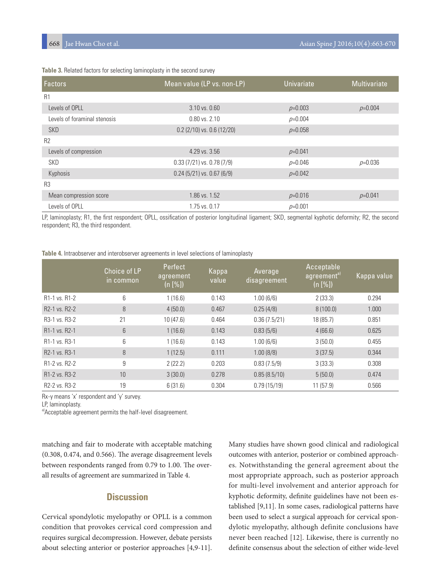| Table 3. Related factors for selecting laminoplasty in the second survey |  |
|--------------------------------------------------------------------------|--|
|--------------------------------------------------------------------------|--|

| <b>Factors</b>               | Mean value (LP vs. non-LP)     | <b>Univariate</b> | <b>Multivariate</b> |
|------------------------------|--------------------------------|-------------------|---------------------|
| R1                           |                                |                   |                     |
| Levels of OPLL               | 3.10 vs. 0.60                  | $p=0.003$         | $p=0.004$           |
| Levels of foraminal stenosis | $0.80$ vs. $2.10$              | $p=0.004$         |                     |
| <b>SKD</b>                   | $0.2$ (2/10) vs. $0.6$ (12/20) | $p=0.058$         |                     |
| R <sub>2</sub>               |                                |                   |                     |
| Levels of compression        | 4.29 vs. 3.56                  | $p=0.041$         |                     |
| SKD                          | $0.33(7/21)$ vs. $0.78(7/9)$   | $p=0.046$         | $p=0.036$           |
| Kyphosis                     | $0.24$ (5/21) vs. $0.67$ (6/9) | $p=0.042$         |                     |
| R <sub>3</sub>               |                                |                   |                     |
| Mean compression score       | 1.86 vs. 1.52                  | $p=0.016$         | $p=0.041$           |
| Levels of OPLL               | 1.75 vs. 0.17                  | $p=0.001$         |                     |

LP, laminoplasty; R1, the first respondent; OPLL, ossification of posterior longitudinal ligament; SKD, segmental kyphotic deformity; R2, the second respondent; R3, the third respondent.

**Table 4.** Intraobserver and interobserver agreements in level selections of laminoplasty

|                                         | Choice of LP<br>in common | Perfect<br>agreement<br>(n [%]) | Kappa<br>value | Average<br>disagreement | Acceptable<br>agreement <sup>a)</sup><br>(n [%]) | Kappa value |
|-----------------------------------------|---------------------------|---------------------------------|----------------|-------------------------|--------------------------------------------------|-------------|
| R <sub>1</sub> -1 vs. R <sub>1</sub> -2 | 6                         | 1(16.6)                         | 0.143          | 1.00(6/6)               | 2(33.3)                                          | 0.294       |
| R <sub>2</sub> -1 vs. R <sub>2</sub> -2 | 8                         | 4(50.0)                         | 0.467          | 0.25(4/8)               | 8(100.0)                                         | 1.000       |
| R <sub>3</sub> -1 vs. R <sub>3</sub> -2 | 21                        | 10(47.6)                        | 0.464          | 0.36(7.5/21)            | 18 (85.7)                                        | 0.851       |
| R <sub>1</sub> -1 vs. R <sub>2</sub> -1 | 6                         | 1(16.6)                         | 0.143          | 0.83(5/6)               | 4(66.6)                                          | 0.625       |
| R <sub>1</sub> -1 vs. R <sub>3</sub> -1 | 6                         | 1(16.6)                         | 0.143          | 1.00(6/6)               | 3(50.0)                                          | 0.455       |
| R <sub>2</sub> -1 vs. R <sub>3</sub> -1 | 8                         | 1(12.5)                         | 0.111          | 1.00(8/8)               | 3(37.5)                                          | 0.344       |
| R <sub>1</sub> -2 vs. R <sub>2</sub> -2 | 9                         | 2(22.2)                         | 0.203          | 0.83(7.5/9)             | 3(33.3)                                          | 0.308       |
| R <sub>1</sub> -2 vs. R <sub>3</sub> -2 | 10                        | 3(30.0)                         | 0.278          | 0.85(8.5/10)            | 5(50.0)                                          | 0.474       |
| R <sub>2</sub> -2 vs. R <sub>3</sub> -2 | 19                        | 6(31.6)                         | 0.304          | 0.79(15/19)             | 11(57.9)                                         | 0.566       |

Rx-y means 'x' respondent and 'y' survey.

LP, laminoplasty.

a) Acceptable agreement permits the half-level disagreement.

matching and fair to moderate with acceptable matching (0.308, 0.474, and 0.566). The average disagreement levels between respondents ranged from 0.79 to 1.00. The overall results of agreement are summarized in Table 4.

# **Discussion**

Cervical spondylotic myelopathy or OPLL is a common condition that provokes cervical cord compression and requires surgical decompression. However, debate persists about selecting anterior or posterior approaches [4,9-11].

Many studies have shown good clinical and radiological outcomes with anterior, posterior or combined approaches. Notwithstanding the general agreement about the most appropriate approach, such as posterior approach for multi-level involvement and anterior approach for kyphotic deformity, definite guidelines have not been established [9,11]. In some cases, radiological patterns have been used to select a surgical approach for cervical spondylotic myelopathy, although definite conclusions have never been reached [12]. Likewise, there is currently no definite consensus about the selection of either wide-level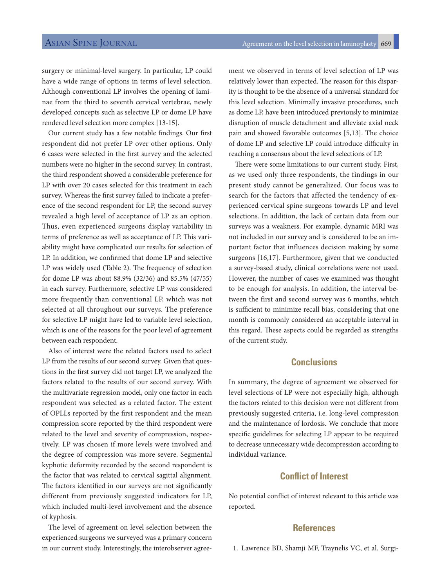surgery or minimal-level surgery. In particular, LP could have a wide range of options in terms of level selection. Although conventional LP involves the opening of laminae from the third to seventh cervical vertebrae, newly developed concepts such as selective LP or dome LP have rendered level selection more complex [13-15].

Our current study has a few notable findings. Our first respondent did not prefer LP over other options. Only 6 cases were selected in the first survey and the selected numbers were no higher in the second survey. In contrast, the third respondent showed a considerable preference for LP with over 20 cases selected for this treatment in each survey. Whereas the first survey failed to indicate a preference of the second respondent for LP, the second survey revealed a high level of acceptance of LP as an option. Thus, even experienced surgeons display variability in terms of preference as well as acceptance of LP. This variability might have complicated our results for selection of LP. In addition, we confirmed that dome LP and selective LP was widely used (Table 2). The frequency of selection for dome LP was about 88.9% (32/36) and 85.5% (47/55) in each survey. Furthermore, selective LP was considered more frequently than conventional LP, which was not selected at all throughout our surveys. The preference for selective LP might have led to variable level selection, which is one of the reasons for the poor level of agreement between each respondent.

Also of interest were the related factors used to select LP from the results of our second survey. Given that questions in the first survey did not target LP, we analyzed the factors related to the results of our second survey. With the multivariate regression model, only one factor in each respondent was selected as a related factor. The extent of OPLLs reported by the first respondent and the mean compression score reported by the third respondent were related to the level and severity of compression, respectively. LP was chosen if more levels were involved and the degree of compression was more severe. Segmental kyphotic deformity recorded by the second respondent is the factor that was related to cervical sagittal alignment. The factors identified in our surveys are not significantly different from previously suggested indicators for LP, which included multi-level involvement and the absence of kyphosis.

The level of agreement on level selection between the experienced surgeons we surveyed was a primary concern in our current study. Interestingly, the interobserver agreement we observed in terms of level selection of LP was relatively lower than expected. The reason for this disparity is thought to be the absence of a universal standard for this level selection. Minimally invasive procedures, such as dome LP, have been introduced previously to minimize disruption of muscle detachment and alleviate axial neck pain and showed favorable outcomes [5,13]. The choice of dome LP and selective LP could introduce difficulty in reaching a consensus about the level selections of LP.

There were some limitations to our current study. First, as we used only three respondents, the findings in our present study cannot be generalized. Our focus was to search for the factors that affected the tendency of experienced cervical spine surgeons towards LP and level selections. In addition, the lack of certain data from our surveys was a weakness. For example, dynamic MRI was not included in our survey and is considered to be an important factor that influences decision making by some surgeons [16,17]. Furthermore, given that we conducted a survey-based study, clinical correlations were not used. However, the number of cases we examined was thought to be enough for analysis. In addition, the interval between the first and second survey was 6 months, which is sufficient to minimize recall bias, considering that one month is commonly considered an acceptable interval in this regard. These aspects could be regarded as strengths of the current study.

# **Conclusions**

In summary, the degree of agreement we observed for level selections of LP were not especially high, although the factors related to this decision were not different from previously suggested criteria, i.e. long-level compression and the maintenance of lordosis. We conclude that more specific guidelines for selecting LP appear to be required to decrease unnecessary wide decompression according to individual variance.

# **Conflict of Interest**

No potential conflict of interest relevant to this article was reported.

### **References**

1. Lawrence BD, Shamji MF, Traynelis VC, et al. Surgi-